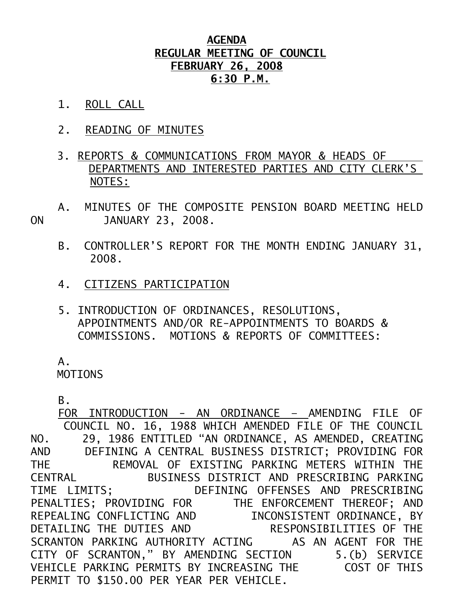## **AGENDA REGULAR MEETING OF COUNCIL FEBRUARY 26, 2008 6:30 P.M.**

- 1. ROLL CALL
- 2. READING OF MINUTES
- 3. REPORTS & COMMUNICATIONS FROM MAYOR & HEADS OF DEPARTMENTS AND INTERESTED PARTIES AND CITY CLERK'S NOTES:
- A. MINUTES OF THE COMPOSITE PENSION BOARD MEETING HELD ON JANUARY 23, 2008.
	- B. CONTROLLER'S REPORT FOR THE MONTH ENDING JANUARY 31, 2008.
	- 4. CITIZENS PARTICIPATION
	- 5. INTRODUCTION OF ORDINANCES, RESOLUTIONS, APPOINTMENTS AND/OR RE-APPOINTMENTS TO BOARDS & COMMISSIONS. MOTIONS & REPORTS OF COMMITTEES:

 $A<sub>-</sub>$ 

MOTIONS

B.

 FOR INTRODUCTION - AN ORDINANCE – AMENDING FILE OF COUNCIL NO. 16, 1988 WHICH AMENDED FILE OF THE COUNCIL NO. 29, 1986 ENTITLED "AN ORDINANCE, AS AMENDED, CREATING AND DEFINING A CENTRAL BUSINESS DISTRICT; PROVIDING FOR THE REMOVAL OF EXISTING PARKING METERS WITHIN THE CENTRAL BUSINESS DISTRICT AND PRESCRIBING PARKING TIME LIMITS; DEFINING OFFENSES AND PRESCRIBING PENALTIES; PROVIDING FOR THE ENFORCEMENT THEREOF; AND REPEALING CONFLICTING AND INCONSISTENT ORDINANCE, BY DETAILING THE DUTIES AND RESPONSIBILITIES OF THE SCRANTON PARKING AUTHORITY ACTING AS AN AGENT FOR THE CITY OF SCRANTON," BY AMENDING SECTION 5.(b) SERVICE VEHICLE PARKING PERMITS BY INCREASING THE COST OF THIS PERMIT TO \$150.00 PER YEAR PER VEHICLE.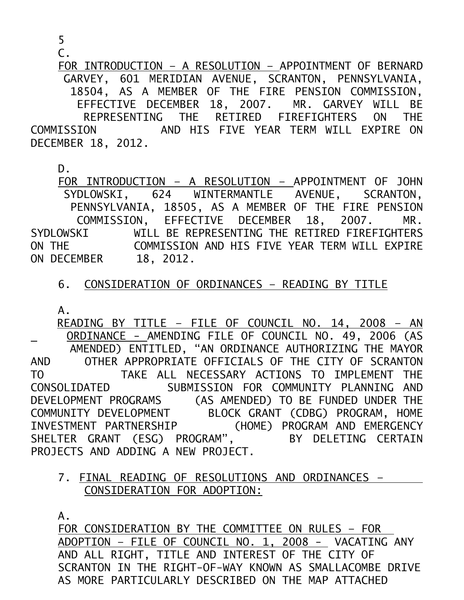5

 $\mathcal{C}$ .

 FOR INTRODUCTION – A RESOLUTION – APPOINTMENT OF BERNARD GARVEY, 601 MERIDIAN AVENUE, SCRANTON, PENNSYLVANIA, 18504, AS A MEMBER OF THE FIRE PENSION COMMISSION, EFFECTIVE DECEMBER 18, 2007. MR. GARVEY WILL BE REPRESENTING THE RETIRED FIREFIGHTERS ON THE COMMISSION AND HIS FIVE YEAR TERM WILL EXPIRE ON DECEMBER 18, 2012.

D.

 FOR INTRODUCTION – A RESOLUTION – APPOINTMENT OF JOHN SYDLOWSKI, 624 WINTERMANTLE AVENUE, SCRANTON, PENNSYLVANIA, 18505, AS A MEMBER OF THE FIRE PENSION COMMISSION, EFFECTIVE DECEMBER 18, 2007. MR. SYDLOWSKI WILL BE REPRESENTING THE RETIRED FIREFIGHTERS ON THE COMMISSION AND HIS FIVE YEAR TERM WILL EXPIRE ON DECEMBER 18, 2012.

## 6. CONSIDERATION OF ORDINANCES – READING BY TITLE

A.

 READING BY TITLE – FILE OF COUNCIL NO. 14, 2008 – AN ORDINANCE - AMENDING FILE OF COUNCIL NO. 49, 2006 (AS AMENDED) ENTITLED, "AN ORDINANCE AUTHORIZING THE MAYOR AND OTHER APPROPRIATE OFFICIALS OF THE CITY OF SCRANTON TO TAKE ALL NECESSARY ACTIONS TO IMPLEMENT THE CONSOLIDATED SUBMISSION FOR COMMUNITY PLANNING AND DEVELOPMENT PROGRAMS (AS AMENDED) TO BE FUNDED UNDER THE COMMUNITY DEVELOPMENT BLOCK GRANT (CDBG) PROGRAM, HOME INVESTMENT PARTNERSHIP (HOME) PROGRAM AND EMERGENCY SHELTER GRANT (ESG) PROGRAM", BY DELETING CERTAIN PROJECTS AND ADDING A NEW PROJECT.

## 7. FINAL READING OF RESOLUTIONS AND ORDINANCES – CONSIDERATION FOR ADOPTION:

A.

FOR CONSIDERATION BY THE COMMITTEE ON RULES – FOR ADOPTION – FILE OF COUNCIL NO. 1, 2008 - VACATING ANY AND ALL RIGHT, TITLE AND INTEREST OF THE CITY OF SCRANTON IN THE RIGHT-OF-WAY KNOWN AS SMALLACOMBE DRIVE AS MORE PARTICULARLY DESCRIBED ON THE MAP ATTACHED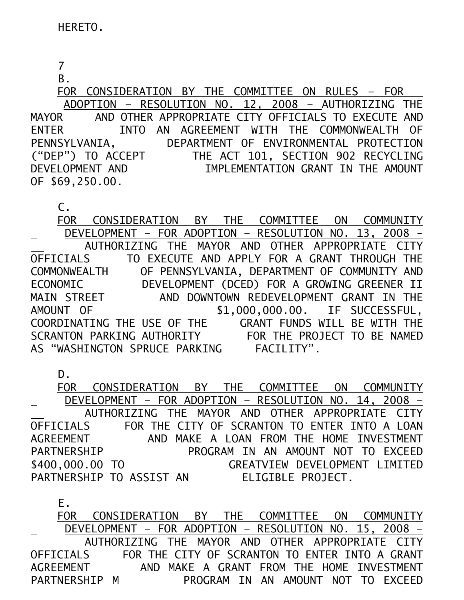7

B.

 FOR CONSIDERATION BY THE COMMITTEE ON RULES – FOR ADOPTION – RESOLUTION NO. 12, 2008 – AUTHORIZING THE MAYOR AND OTHER APPROPRIATE CITY OFFICIALS TO EXECUTE AND ENTER INTO AN AGREEMENT WITH THE COMMONWEALTH OF PENNSYLVANIA, DEPARTMENT OF ENVIRONMENTAL PROTECTION ("DEP") TO ACCEPT THE ACT 101, SECTION 902 RECYCLING DEVELOPMENT AND IMPLEMENTATION GRANT IN THE AMOUNT OF \$69,250.00.

C.

 FOR CONSIDERATION BY THE COMMITTEE ON COMMUNITY DEVELOPMENT – FOR ADOPTION – RESOLUTION NO. 13, 2008 - AUTHORIZING THE MAYOR AND OTHER APPROPRIATE CITY OFFICIALS TO EXECUTE AND APPLY FOR A GRANT THROUGH THE COMMONWEALTH OF PENNSYLVANIA, DEPARTMENT OF COMMUNITY AND<br>ECONOMIC DEVELOPMENT (DCED) FOR A GROWING GREENER II ECONOMIC DEVELOPMENT (DCED) FOR A GROWING GREENER II MAIN STREET AND DOWNTOWN REDEVELOPMENT GRANT IN THE AMOUNT OF \$1,000,000.00. IF SUCCESSFUL, COORDINATING THE USE OF THE GRANT FUNDS WILL BE WITH THE SCRANTON PARKING AUTHORITY FOR THE PROJECT TO BE NAMED AS "WASHINGTON SPRUCE PARKING FACILITY".

D.

 FOR CONSIDERATION BY THE COMMITTEE ON COMMUNITY DEVELOPMENT – FOR ADOPTION – RESOLUTION NO. 14, 2008 – AUTHORIZING THE MAYOR AND OTHER APPROPRIATE CITY OFFICIALS FOR THE CITY OF SCRANTON TO ENTER INTO A LOAN AGREEMENT AND MAKE A LOAN FROM THE HOME INVESTMENT PARTNERSHIP PROGRAM IN AN AMOUNT NOT TO EXCEED \$400,000.00 TO GREATVIEW DEVELOPMENT LIMITED PARTNERSHIP TO ASSIST AN ELIGIBLE PROJECT.

 E. FOR CONSIDERATION BY THE COMMITTEE ON COMMUNITY DEVELOPMENT – FOR ADOPTION – RESOLUTION NO. 15, 2008 – AUTHORIZING THE MAYOR AND OTHER APPROPRIATE CITY OFFICIALS FOR THE CITY OF SCRANTON TO ENTER INTO A GRANT AGREEMENT AND MAKE A GRANT FROM THE HOME INVESTMENT PARTNERSHIP M PROGRAM IN AN AMOUNT NOT TO EXCEED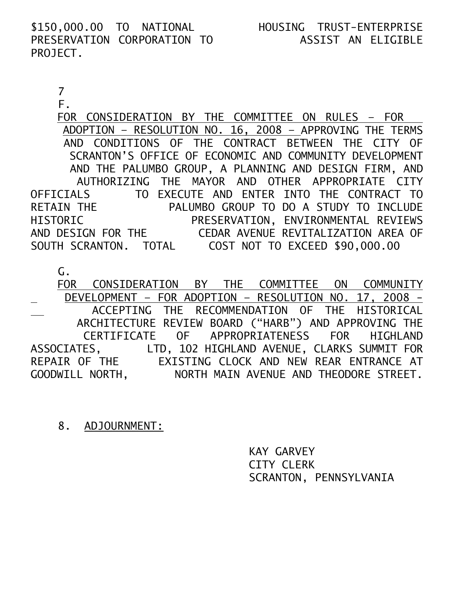\$150,000.00 TO NATIONAL HOUSING TRUST-ENTERPRISE PRESERVATION CORPORATION TO PROJECT.

## 7

F.

 FOR CONSIDERATION BY THE COMMITTEE ON RULES – FOR ADOPTION – RESOLUTION NO. 16, 2008 – APPROVING THE TERMS AND CONDITIONS OF THE CONTRACT BETWEEN THE CITY OF SCRANTON'S OFFICE OF ECONOMIC AND COMMUNITY DEVELOPMENT AND THE PALUMBO GROUP, A PLANNING AND DESIGN FIRM, AND AUTHORIZING THE MAYOR AND OTHER APPROPRIATE CITY OFFICIALS TO EXECUTE AND ENTER INTO THE CONTRACT TO RETAIN THE PALUMBO GROUP TO DO A STUDY TO INCLUDE HISTORIC PRESERVATION, ENVIRONMENTAL REVIEWS AND DESIGN FOR THE CEDAR AVENUE REVITALIZATION AREA OF SOUTH SCRANTON. TOTAL COST NOT TO EXCEED \$90,000.00

G.

 FOR CONSIDERATION BY THE COMMITTEE ON COMMUNITY DEVELOPMENT – FOR ADOPTION – RESOLUTION NO. 17, 2008 - ACCEPTING THE RECOMMENDATION OF THE HISTORICAL ARCHITECTURE REVIEW BOARD ("HARB") AND APPROVING THE CERTIFICATE OF APPROPRIATENESS FOR HIGHLAND ASSOCIATES, LTD, 102 HIGHLAND AVENUE, CLARKS SUMMIT FOR REPAIR OF THE EXISTING CLOCK AND NEW REAR ENTRANCE AT GOODWILL NORTH, NORTH MAIN AVENUE AND THEODORE STREET.

8. ADJOURNMENT:

 KAY GARVEY CITY CLERK SCRANTON, PENNSYLVANIA